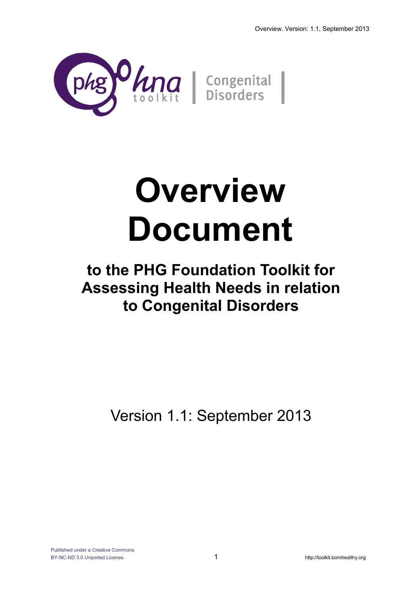

# **Overview Document**

# **to the PHG Foundation Toolkit for Assessing Health Needs in relation to Congenital Disorders**

Version 1.1: September 2013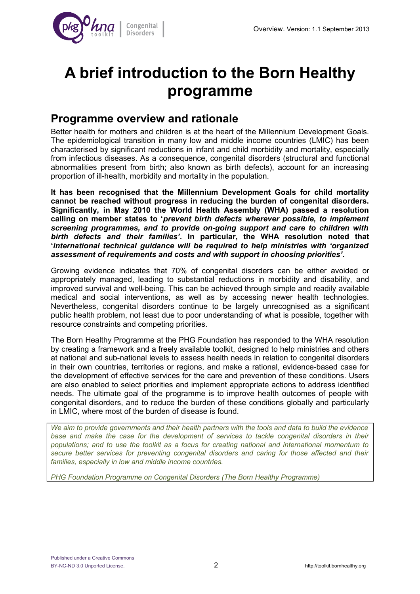

# **A brief introduction to the Born Healthy programme**

## **Programme overview and rationale**

Better health for mothers and children is at the heart of the Millennium Development Goals. The epidemiological transition in many low and middle income countries (LMIC) has been characterised by significant reductions in infant and child morbidity and mortality, especially from infectious diseases. As a consequence, congenital disorders (structural and functional abnormalities present from birth; also known as birth defects), account for an increasing proportion of ill-health, morbidity and mortality in the population.

**It has been recognised that the Millennium Development Goals for child mortality cannot be reached without progress in reducing the burden of congenital disorders. Significantly, in May 2010 the World Health Assembly (WHA) passed a resolution calling on member states to '***prevent birth defects wherever possible, to implement screening programmes, and to provide on-going support and care to children with birth defects and their families'***. In particular, the WHA resolution noted that '***international technical guidance will be required to help ministries with 'organized assessment of requirements and costs and with support in choosing priorities'***.**

Growing evidence indicates that 70% of congenital disorders can be either avoided or appropriately managed, leading to substantial reductions in morbidity and disability, and improved survival and well-being. This can be achieved through simple and readily available medical and social interventions, as well as by accessing newer health technologies. Nevertheless, congenital disorders continue to be largely unrecognised as a significant public health problem, not least due to poor understanding of what is possible, together with resource constraints and competing priorities.

The Born Healthy Programme at the PHG Foundation has responded to the WHA resolution by creating a framework and a freely available toolkit, designed to help ministries and others at national and sub-national levels to assess health needs in relation to congenital disorders in their own countries, territories or regions, and make a rational, evidence-based case for the development of effective services for the care and prevention of these conditions. Users are also enabled to select priorities and implement appropriate actions to address identified needs. The ultimate goal of the programme is to improve health outcomes of people with congenital disorders, and to reduce the burden of these conditions globally and particularly in LMIC, where most of the burden of disease is found.

*We aim to provide governments and their health partners with the tools and data to build the evidence base and make the case for the development of services to tackle congenital disorders in their populations; and to use the toolkit as a focus for creating national and international momentum to secure better services for preventing congenital disorders and caring for those affected and their families, especially in low and middle income countries.*

*PHG Foundation Programme on Congenital Disorders (The Born Healthy Programme)*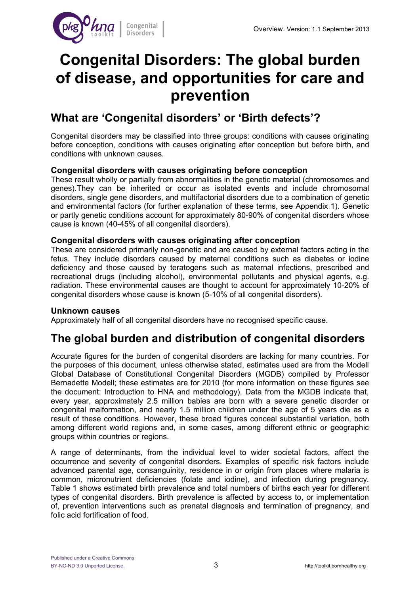

# **Congenital Disorders: The global burden of disease, and opportunities for care and prevention**

### **What are 'Congenital disorders' or 'Birth defects'?**

Congenital disorders may be classified into three groups: conditions with causes originating before conception, conditions with causes originating after conception but before birth, and conditions with unknown causes.

#### **Congenital disorders with causes originating before conception**

These result wholly or partially from abnormalities in the genetic material (chromosomes and genes).They can be inherited or occur as isolated events and include chromosomal disorders, single gene disorders, and multifactorial disorders due to a combination of genetic and environmental factors (for further explanation of these terms, see Appendix 1). Genetic or partly genetic conditions account for approximately 80-90% of congenital disorders whose cause is known (40-45% of all congenital disorders).

#### **Congenital disorders with causes originating after conception**

These are considered primarily non-genetic and are caused by external factors acting in the fetus. They include disorders caused by maternal conditions such as diabetes or iodine deficiency and those caused by teratogens such as maternal infections, prescribed and recreational drugs (including alcohol), environmental pollutants and physical agents, e.g. radiation. These environmental causes are thought to account for approximately 10-20% of congenital disorders whose cause is known (5-10% of all congenital disorders).

#### **Unknown causes**

Approximately half of all congenital disorders have no recognised specific cause.

## **The global burden and distribution of congenital disorders**

Accurate figures for the burden of congenital disorders are lacking for many countries. For the purposes of this document, unless otherwise stated, estimates used are from the Modell Global Database of Constitutional Congenital Disorders (MGDB) compiled by Professor Bernadette Modell; these estimates are for 2010 (for more information on these figures see the document: Introduction to HNA and methodology). Data from the MGDB indicate that, every year, approximately 2.5 million babies are born with a severe genetic disorder or congenital malformation, and nearly 1.5 million children under the age of 5 years die as a result of these conditions. However, these broad figures conceal substantial variation, both among different world regions and, in some cases, among different ethnic or geographic groups within countries or regions.

A range of determinants, from the individual level to wider societal factors, affect the occurrence and severity of congenital disorders. Examples of specific risk factors include advanced parental age, consanguinity, residence in or origin from places where malaria is common, micronutrient deficiencies (folate and iodine), and infection during pregnancy. Table 1 shows estimated birth prevalence and total numbers of births each year for different types of congenital disorders. Birth prevalence is affected by access to, or implementation of, prevention interventions such as prenatal diagnosis and termination of pregnancy, and folic acid fortification of food.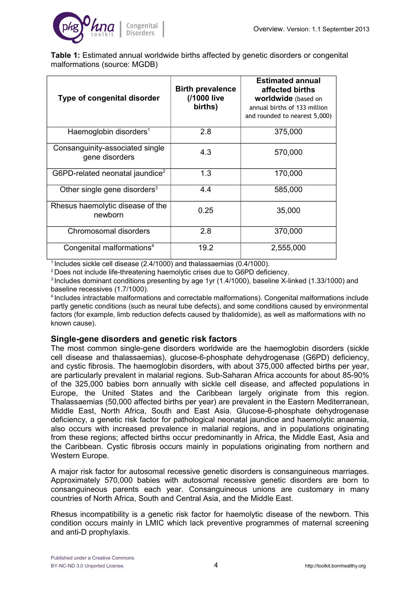

**Table 1:** Estimated annual worldwide births affected by genetic disorders or congenital malformations (source: MGDB)

| Type of congenital disorder                       | <b>Birth prevalence</b><br>(/1000 live<br>births) | <b>Estimated annual</b><br>affected births<br><b>worldwide</b> (based on<br>annual births of 133 million<br>and rounded to nearest 5,000) |
|---------------------------------------------------|---------------------------------------------------|-------------------------------------------------------------------------------------------------------------------------------------------|
| Haemoglobin disorders <sup>1</sup>                | 2.8                                               | 375,000                                                                                                                                   |
| Consanguinity-associated single<br>gene disorders | 4.3                                               | 570,000                                                                                                                                   |
| G6PD-related neonatal jaundice <sup>2</sup>       | 1.3                                               | 170,000                                                                                                                                   |
| Other single gene disorders $3$                   | 4.4                                               | 585,000                                                                                                                                   |
| Rhesus haemolytic disease of the<br>newborn       | 0.25                                              | 35,000                                                                                                                                    |
| Chromosomal disorders                             | 2.8                                               | 370,000                                                                                                                                   |
| Congenital malformations <sup>4</sup>             | 19.2                                              | 2,555,000                                                                                                                                 |

 $1$ Includes sickle cell disease (2.4/1000) and thalassaemias (0.4/1000).

<sup>2</sup>Does not include life-threatening haemolytic crises due to G6PD deficiency.

<sup>3</sup> Includes dominant conditions presenting by age 1yr (1.4/1000), baseline X-linked (1.33/1000) and baseline recessives (1.7/1000).

<sup>4</sup>Includes intractable malformations and correctable malformations). Congenital malformations include partly genetic conditions (such as neural tube defects), and some conditions caused by environmental factors (for example, limb reduction defects caused by thalidomide), as well as malformations with no known cause).

#### **Single-gene disorders and genetic risk factors**

The most common single-gene disorders worldwide are the haemoglobin disorders (sickle cell disease and thalassaemias), glucose-6-phosphate dehydrogenase (G6PD) deficiency, and cystic fibrosis. The haemoglobin disorders, with about 375,000 affected births per year, are particularly prevalent in malarial regions. Sub-Saharan Africa accounts for about 85-90% of the 325,000 babies born annually with sickle cell disease, and affected populations in Europe, the United States and the Caribbean largely originate from this region. Thalassaemias (50,000 affected births per year) are prevalent in the Eastern Mediterranean, Middle East, North Africa, South and East Asia. Glucose-6-phosphate dehydrogenase deficiency, a genetic risk factor for pathological neonatal jaundice and haemolytic anaemia, also occurs with increased prevalence in malarial regions, and in populations originating from these regions; affected births occur predominantly in Africa, the Middle East, Asia and the Caribbean. Cystic fibrosis occurs mainly in populations originating from northern and Western Europe.

A major risk factor for autosomal recessive genetic disorders is consanguineous marriages. Approximately 570,000 babies with autosomal recessive genetic disorders are born to consanguineous parents each year. Consanguineous unions are customary in many countries of North Africa, South and Central Asia, and the Middle East.

Rhesus incompatibility is a genetic risk factor for haemolytic disease of the newborn. This condition occurs mainly in LMIC which lack preventive programmes of maternal screening and anti-D prophylaxis.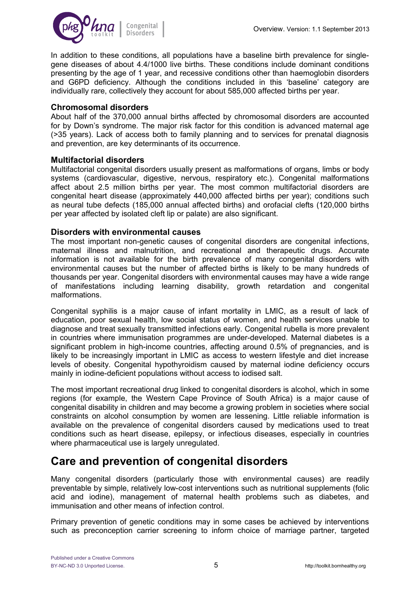

In addition to these conditions, all populations have a baseline birth prevalence for singlegene diseases of about 4.4/1000 live births. These conditions include dominant conditions presenting by the age of 1 year, and recessive conditions other than haemoglobin disorders and G6PD deficiency. Although the conditions included in this 'baseline' category are individually rare, collectively they account for about 585,000 affected births per year.

#### **Chromosomal disorders**

About half of the 370,000 annual births affected by chromosomal disorders are accounted for by Down's syndrome. The major risk factor for this condition is advanced maternal age (>35 years). Lack of access both to family planning and to services for prenatal diagnosis and prevention, are key determinants of its occurrence.

#### **Multifactorial disorders**

Multifactorial congenital disorders usually present as malformations of organs, limbs or body systems (cardiovascular, digestive, nervous, respiratory etc.). Congenital malformations affect about 2.5 million births per year. The most common multifactorial disorders are congenital heart disease (approximately 440,000 affected births per year); conditions such as neural tube defects (185,000 annual affected births) and orofacial clefts (120,000 births per year affected by isolated cleft lip or palate) are also significant.

#### **Disorders with environmental causes**

The most important non-genetic causes of congenital disorders are congenital infections, maternal illness and malnutrition, and recreational and therapeutic drugs. Accurate information is not available for the birth prevalence of many congenital disorders with environmental causes but the number of affected births is likely to be many hundreds of thousands per year. Congenital disorders with environmental causes may have a wide range of manifestations including learning disability, growth retardation and congenital malformations.

Congenital syphilis is a major cause of infant mortality in LMIC, as a result of lack of education, poor sexual health, low social status of women, and health services unable to diagnose and treat sexually transmitted infections early. Congenital rubella is more prevalent in countries where immunisation programmes are under-developed. Maternal diabetes is a significant problem in high-income countries, affecting around 0.5% of pregnancies, and is likely to be increasingly important in LMIC as access to western lifestyle and diet increase levels of obesity. Congenital hypothyroidism caused by maternal iodine deficiency occurs mainly in iodine-deficient populations without access to iodised salt.

The most important recreational drug linked to congenital disorders is alcohol, which in some regions (for example, the Western Cape Province of South Africa) is a major cause of congenital disability in children and may become a growing problem in societies where social constraints on alcohol consumption by women are lessening. Little reliable information is available on the prevalence of congenital disorders caused by medications used to treat conditions such as heart disease, epilepsy, or infectious diseases, especially in countries where pharmaceutical use is largely unregulated.

## **Care and prevention of congenital disorders**

Many congenital disorders (particularly those with environmental causes) are readily preventable by simple, relatively low-cost interventions such as nutritional supplements (folic acid and iodine), management of maternal health problems such as diabetes, and immunisation and other means of infection control.

Primary prevention of genetic conditions may in some cases be achieved by interventions such as preconception carrier screening to inform choice of marriage partner, targeted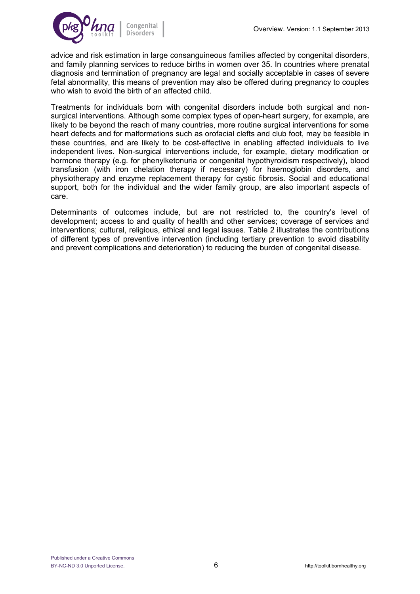

advice and risk estimation in large consanguineous families affected by congenital disorders, and family planning services to reduce births in women over 35. In countries where prenatal diagnosis and termination of pregnancy are legal and socially acceptable in cases of severe fetal abnormality, this means of prevention may also be offered during pregnancy to couples who wish to avoid the birth of an affected child.

Treatments for individuals born with congenital disorders include both surgical and nonsurgical interventions. Although some complex types of open-heart surgery, for example, are likely to be beyond the reach of many countries, more routine surgical interventions for some heart defects and for malformations such as orofacial clefts and club foot, may be feasible in these countries, and are likely to be cost-effective in enabling affected individuals to live independent lives. Non-surgical interventions include, for example, dietary modification or hormone therapy (e.g. for phenylketonuria or congenital hypothyroidism respectively), blood transfusion (with iron chelation therapy if necessary) for haemoglobin disorders, and physiotherapy and enzyme replacement therapy for cystic fibrosis. Social and educational support, both for the individual and the wider family group, are also important aspects of care.

Determinants of outcomes include, but are not restricted to, the country's level of development; access to and quality of health and other services; coverage of services and interventions; cultural, religious, ethical and legal issues. Table 2 illustrates the contributions of different types of preventive intervention (including tertiary prevention to avoid disability and prevent complications and deterioration) to reducing the burden of congenital disease.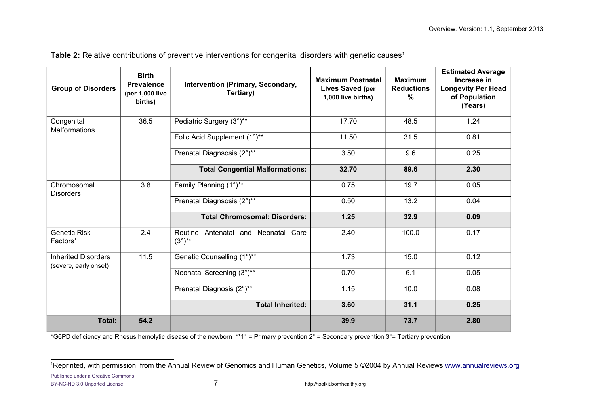| <b>Group of Disorders</b>                           | <b>Birth</b><br><b>Prevalence</b><br>(per 1,000 live<br>births) | Intervention (Primary, Secondary,<br>Tertiary)            | <b>Maximum Postnatal</b><br><b>Lives Saved (per</b><br>1,000 live births) | <b>Maximum</b><br><b>Reductions</b><br>% | <b>Estimated Average</b><br>Increase in<br><b>Longevity Per Head</b><br>of Population<br>(Years) |
|-----------------------------------------------------|-----------------------------------------------------------------|-----------------------------------------------------------|---------------------------------------------------------------------------|------------------------------------------|--------------------------------------------------------------------------------------------------|
| 36.5<br>Congenital<br><b>Malformations</b>          |                                                                 | Pediatric Surgery (3°)**                                  | 17.70                                                                     | 48.5                                     | 1.24                                                                                             |
|                                                     |                                                                 | Folic Acid Supplement (1°)**                              | 11.50                                                                     | 31.5                                     | 0.81                                                                                             |
|                                                     |                                                                 | Prenatal Diagnsosis (2°)**                                | 3.50                                                                      | 9.6                                      | 0.25                                                                                             |
|                                                     |                                                                 | <b>Total Congential Malformations:</b>                    | 32.70                                                                     | 89.6                                     | 2.30                                                                                             |
| Chromosomal<br><b>Disorders</b>                     | 3.8                                                             | Family Planning (1°)**                                    | 0.75                                                                      | 19.7                                     | 0.05                                                                                             |
|                                                     |                                                                 | Prenatal Diagnsosis (2°)**                                | 0.50                                                                      | 13.2                                     | 0.04                                                                                             |
|                                                     |                                                                 | <b>Total Chromosomal: Disorders:</b>                      | 1.25                                                                      | 32.9                                     | 0.09                                                                                             |
| <b>Genetic Risk</b><br>Factors*                     | 2.4                                                             | Routine Antenatal and Neonatal Care<br>$(3^{\circ})^{**}$ | 2.40                                                                      | 100.0                                    | 0.17                                                                                             |
| <b>Inherited Disorders</b><br>(severe, early onset) | 11.5                                                            | Genetic Counselling (1°)**                                | 1.73                                                                      | 15.0                                     | 0.12                                                                                             |
|                                                     |                                                                 | Neonatal Screening (3°)**                                 | 0.70                                                                      | 6.1                                      | 0.05                                                                                             |
|                                                     |                                                                 | Prenatal Diagnosis (2°) <sup>**</sup>                     | 1.15                                                                      | 10.0                                     | 0.08                                                                                             |
|                                                     |                                                                 | <b>Total Inherited:</b>                                   | 3.60                                                                      | 31.1                                     | 0.25                                                                                             |
| Total:                                              | 54.2                                                            |                                                           | 39.9                                                                      | 73.7                                     | 2.80                                                                                             |

Table 2: Relative contributions of preventive interventions for congenital disorders with genetic causes<sup>[1](#page-6-0)</sup>

\*G6PD deficiency and Rhesus hemolytic disease of the newborn \*\*1° = Primary prevention 2° = Secondary prevention 3°= Tertiary prevention

<span id="page-6-0"></span><sup>&</sup>lt;sup>1</sup>Reprinted, with permission, from the Annual Review of Genomics and Human Genetics, Volume 5 ©2004 by Annual Reviews www.annualreviews.org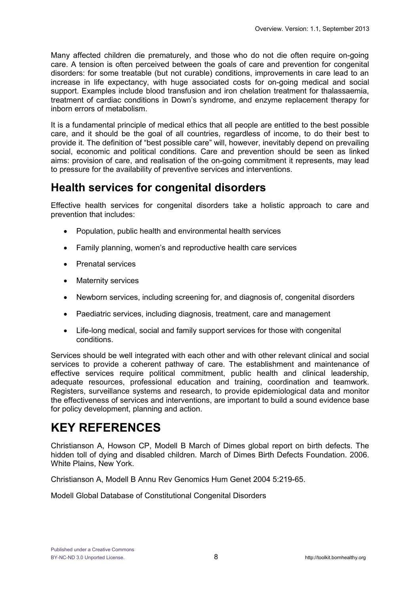Many affected children die prematurely, and those who do not die often require on-going care. A tension is often perceived between the goals of care and prevention for congenital disorders: for some treatable (but not curable) conditions, improvements in care lead to an increase in life expectancy, with huge associated costs for on-going medical and social support. Examples include blood transfusion and iron chelation treatment for thalassaemia, treatment of cardiac conditions in Down's syndrome, and enzyme replacement therapy for inborn errors of metabolism.

It is a fundamental principle of medical ethics that all people are entitled to the best possible care, and it should be the goal of all countries, regardless of income, to do their best to provide it. The definition of "best possible care" will, however, inevitably depend on prevailing social, economic and political conditions. Care and prevention should be seen as linked aims: provision of care, and realisation of the on-going commitment it represents, may lead to pressure for the availability of preventive services and interventions.

# **Health services for congenital disorders**

Effective health services for congenital disorders take a holistic approach to care and prevention that includes:

- Population, public health and environmental health services
- Family planning, women's and reproductive health care services
- Prenatal services
- Maternity services
- Newborn services, including screening for, and diagnosis of, congenital disorders
- Paediatric services, including diagnosis, treatment, care and management
- Life-long medical, social and family support services for those with congenital conditions.

Services should be well integrated with each other and with other relevant clinical and social services to provide a coherent pathway of care. The establishment and maintenance of effective services require political commitment, public health and clinical leadership, adequate resources, professional education and training, coordination and teamwork. Registers, surveillance systems and research, to provide epidemiological data and monitor the effectiveness of services and interventions, are important to build a sound evidence base for policy development, planning and action.

# **KEY REFERENCES**

Christianson A, Howson CP, Modell B March of Dimes global report on birth defects. The hidden toll of dying and disabled children. March of Dimes Birth Defects Foundation. 2006. White Plains, New York.

Christianson A, Modell B Annu Rev Genomics Hum Genet 2004 5:219-65.

Modell Global Database of Constitutional Congenital Disorders